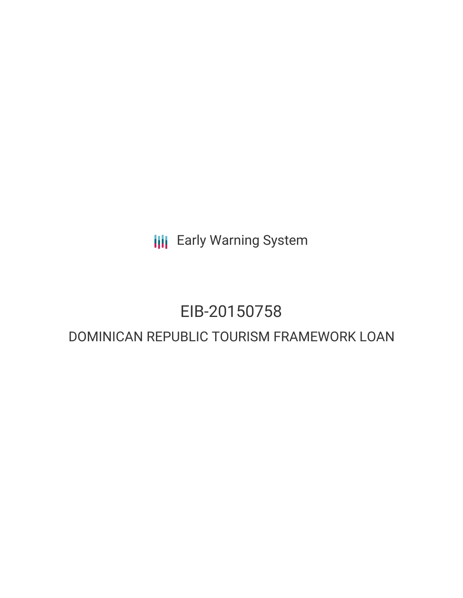**III** Early Warning System

## EIB-20150758

### DOMINICAN REPUBLIC TOURISM FRAMEWORK LOAN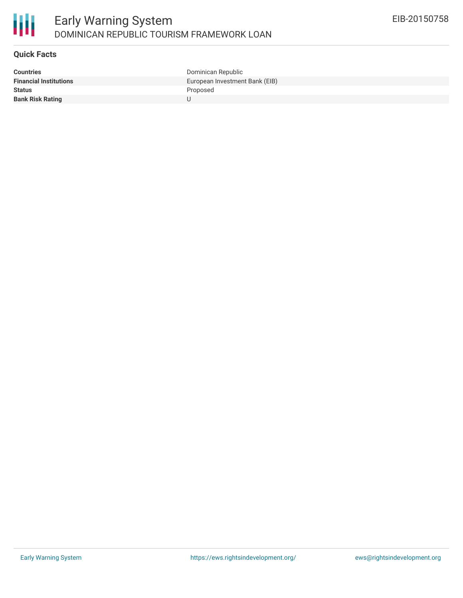

#### **Quick Facts**

| <b>Countries</b>              | Dominican Republic             |
|-------------------------------|--------------------------------|
| <b>Financial Institutions</b> | European Investment Bank (EIB) |
| <b>Status</b>                 | Proposed                       |
| <b>Bank Risk Rating</b>       |                                |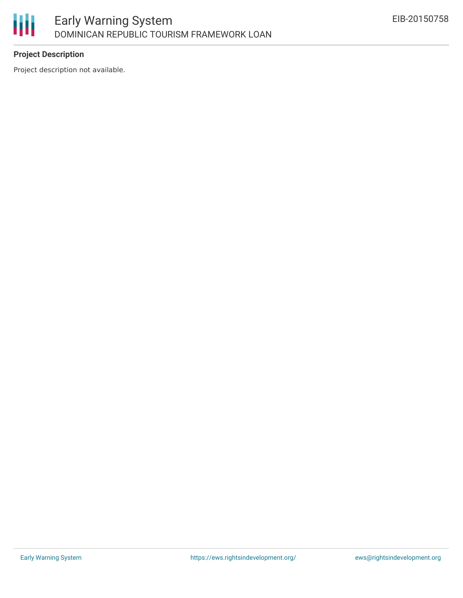

### **Project Description**

Project description not available.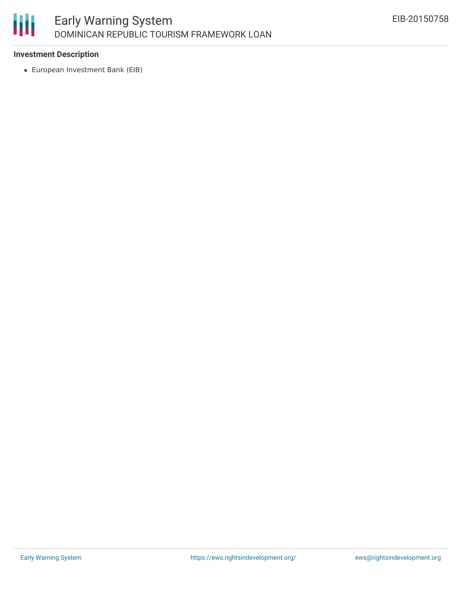# 冊

### **Investment Description**

European Investment Bank (EIB)